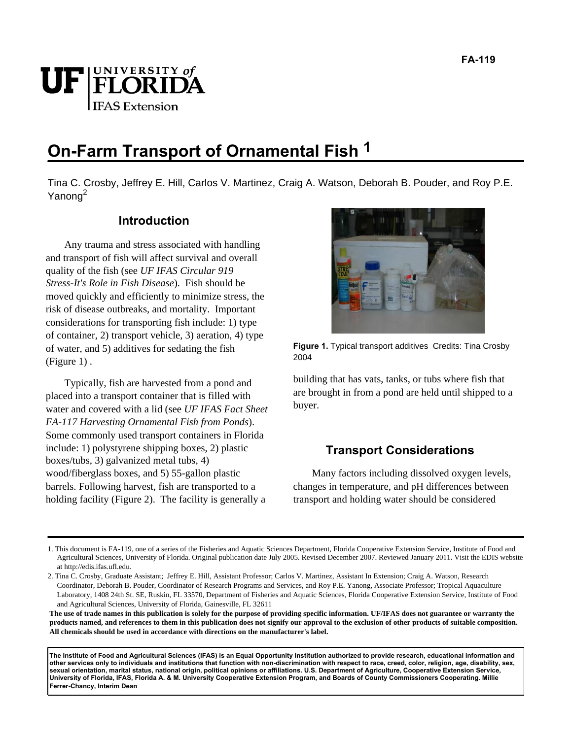# UF FLORIDA **IFAS Extension**

# **On-Farm Transport of Ornamental Fish 1**

Tina C. Crosby, Jeffrey E. Hill, Carlos V. Martinez, Craig A. Watson, Deborah B. Pouder, and Roy P.E. Yanong<sup>2</sup>

# **Introduction**

Any trauma and stress associated with handling and transport of fish will affect survival and overall quality of the fish (see *UF IFAS Circular 919 Stress-It's Role in Fish Disease*). Fish should be moved quickly and efficiently to minimize stress, the risk of disease outbreaks, and mortality. Important considerations for transporting fish include: 1) type of container, 2) transport vehicle, 3) aeration, 4) type of water, and 5) additives for sedating the fish (Figure 1) .

Typically, fish are harvested from a pond and placed into a transport container that is filled with water and covered with a lid (see *UF IFAS Fact Sheet FA-117 Harvesting Ornamental Fish from Ponds*). Some commonly used transport containers in Florida include: 1) polystyrene shipping boxes, 2) plastic boxes/tubs, 3) galvanized metal tubs, 4) wood/fiberglass boxes, and 5) 55-gallon plastic barrels. Following harvest, fish are transported to a holding facility (Figure 2). The facility is generally a



**Figure 1.** Typical transport additives Credits: Tina Crosby 2004

building that has vats, tanks, or tubs where fish that are brought in from a pond are held until shipped to a buyer.

# **Transport Considerations**

Many factors including dissolved oxygen levels, changes in temperature, and pH differences between transport and holding water should be considered

**The use of trade names in this publication is solely for the purpose of providing specific information. UF/IFAS does not guarantee or warranty the products named, and references to them in this publication does not signify our approval to the exclusion of other products of suitable composition. All chemicals should be used in accordance with directions on the manufacturer's label.** 

**The Institute of Food and Agricultural Sciences (IFAS) is an Equal Opportunity Institution authorized to provide research, educational information and other services only to individuals and institutions that function with non-discrimination with respect to race, creed, color, religion, age, disability, sex, sexual orientation, marital status, national origin, political opinions or affiliations. U.S. Department of Agriculture, Cooperative Extension Service, University of Florida, IFAS, Florida A. & M. University Cooperative Extension Program, and Boards of County Commissioners Cooperating. Millie Ferrer-Chancy, Interim Dean** 

<sup>1.</sup> This document is FA-119, one of a series of the Fisheries and Aquatic Sciences Department, Florida Cooperative Extension Service, Institute of Food and Agricultural Sciences, University of Florida. Original publication date July 2005. Revised December 2007. Reviewed January 2011. Visit the EDIS website at http://edis.ifas.ufl.edu.

<sup>2.</sup> Tina C. Crosby, Graduate Assistant; Jeffrey E. Hill, Assistant Professor; Carlos V. Martinez, Assistant In Extension; Craig A. Watson, Research Coordinator, Deborah B. Pouder, Coordinator of Research Programs and Services, and Roy P.E. Yanong, Associate Professor; Tropical Aquaculture Laboratory, 1408 24th St. SE, Ruskin, FL 33570, Department of Fisheries and Aquatic Sciences, Florida Cooperative Extension Service, Institute of Food and Agricultural Sciences, University of Florida, Gainesville, FL 32611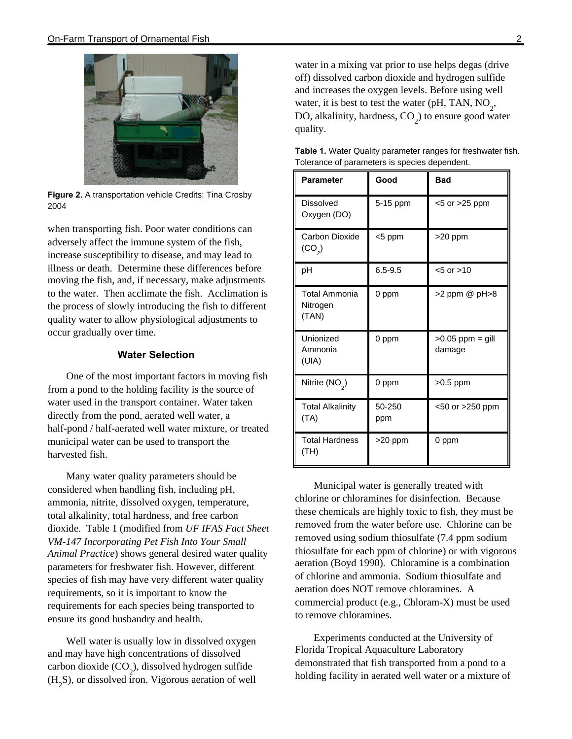

**Figure 2.** A transportation vehicle Credits: Tina Crosby 2004

when transporting fish. Poor water conditions can adversely affect the immune system of the fish, increase susceptibility to disease, and may lead to illness or death. Determine these differences before moving the fish, and, if necessary, make adjustments to the water. Then acclimate the fish. Acclimation is the process of slowly introducing the fish to different quality water to allow physiological adjustments to occur gradually over time.

#### **Water Selection**

One of the most important factors in moving fish from a pond to the holding facility is the source of water used in the transport container. Water taken directly from the pond, aerated well water, a half-pond / half-aerated well water mixture, or treated municipal water can be used to transport the harvested fish.

Many water quality parameters should be considered when handling fish, including pH, ammonia, nitrite, dissolved oxygen, temperature, total alkalinity, total hardness, and free carbon dioxide. Table 1 (modified from *UF IFAS Fact Sheet VM-147 Incorporating Pet Fish Into Your Small Animal Practice*) shows general desired water quality parameters for freshwater fish. However, different species of fish may have very different water quality requirements, so it is important to know the requirements for each species being transported to ensure its good husbandry and health.

Well water is usually low in dissolved oxygen and may have high concentrations of dissolved carbon dioxide  $(CO_2)$ , dissolved hydrogen sulfide  $(H_2S)$ , or dissolved iron. Vigorous aeration of well water in a mixing vat prior to use helps degas (drive off) dissolved carbon dioxide and hydrogen sulfide and increases the oxygen levels. Before using well water, it is best to test the water (pH, TAN,  $NO_2$ , DO, alkalinity, hardness,  $CO_2$ ) to ensure good water quality.

| <b>Parameter</b>                          | Good          | <b>Bad</b>                   |  |
|-------------------------------------------|---------------|------------------------------|--|
| Dissolved<br>Oxygen (DO)                  | 5-15 ppm      | <5 or >25 ppm                |  |
| Carbon Dioxide<br>(CO <sub>2</sub> )      | <5 ppm        | >20 ppm                      |  |
| рH                                        | $6.5 - 9.5$   | $< 5$ or $> 10$              |  |
| <b>Total Ammonia</b><br>Nitrogen<br>(TAN) | 0 ppm         | >2 ppm @ pH>8                |  |
| Unionized<br>Ammonia<br>(UIA)             | 0 ppm         | $>0.05$ ppm = gill<br>damage |  |
| Nitrite $(NO2)$                           | 0 ppm         | $>0.5$ ppm                   |  |
| <b>Total Alkalinity</b><br>(TA)           | 50-250<br>ppm | <50 or >250 ppm              |  |
| <b>Total Hardness</b><br>(TH)             | >20 ppm       | 0 ppm                        |  |

**Table 1.** Water Quality parameter ranges for freshwater fish. Tolerance of parameters is species dependent.

Municipal water is generally treated with chlorine or chloramines for disinfection. Because these chemicals are highly toxic to fish, they must be removed from the water before use. Chlorine can be removed using sodium thiosulfate (7.4 ppm sodium thiosulfate for each ppm of chlorine) or with vigorous aeration (Boyd 1990). Chloramine is a combination of chlorine and ammonia. Sodium thiosulfate and aeration does NOT remove chloramines. A commercial product (e.g., Chloram-X) must be used to remove chloramines.

Experiments conducted at the University of Florida Tropical Aquaculture Laboratory demonstrated that fish transported from a pond to a holding facility in aerated well water or a mixture of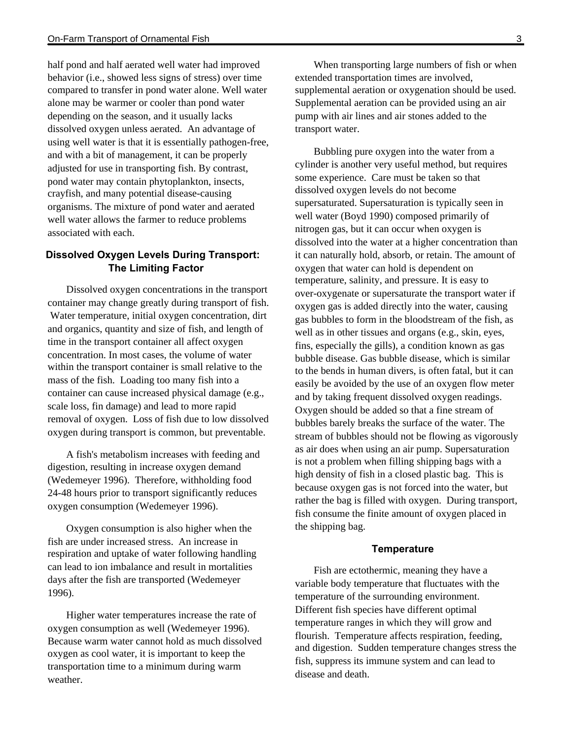half pond and half aerated well water had improved behavior (i.e., showed less signs of stress) over time compared to transfer in pond water alone. Well water alone may be warmer or cooler than pond water depending on the season, and it usually lacks dissolved oxygen unless aerated. An advantage of using well water is that it is essentially pathogen-free, and with a bit of management, it can be properly adjusted for use in transporting fish. By contrast, pond water may contain phytoplankton, insects, crayfish, and many potential disease-causing organisms. The mixture of pond water and aerated well water allows the farmer to reduce problems associated with each.

### **Dissolved Oxygen Levels During Transport: The Limiting Factor**

Dissolved oxygen concentrations in the transport container may change greatly during transport of fish. Water temperature, initial oxygen concentration, dirt and organics, quantity and size of fish, and length of time in the transport container all affect oxygen concentration. In most cases, the volume of water within the transport container is small relative to the mass of the fish. Loading too many fish into a container can cause increased physical damage (e.g., scale loss, fin damage) and lead to more rapid removal of oxygen. Loss of fish due to low dissolved oxygen during transport is common, but preventable.

A fish's metabolism increases with feeding and digestion, resulting in increase oxygen demand (Wedemeyer 1996). Therefore, withholding food 24-48 hours prior to transport significantly reduces oxygen consumption (Wedemeyer 1996).

Oxygen consumption is also higher when the fish are under increased stress. An increase in respiration and uptake of water following handling can lead to ion imbalance and result in mortalities days after the fish are transported (Wedemeyer 1996).

Higher water temperatures increase the rate of oxygen consumption as well (Wedemeyer 1996). Because warm water cannot hold as much dissolved oxygen as cool water, it is important to keep the transportation time to a minimum during warm weather.

When transporting large numbers of fish or when extended transportation times are involved, supplemental aeration or oxygenation should be used. Supplemental aeration can be provided using an air pump with air lines and air stones added to the transport water.

Bubbling pure oxygen into the water from a cylinder is another very useful method, but requires some experience. Care must be taken so that dissolved oxygen levels do not become supersaturated. Supersaturation is typically seen in well water (Boyd 1990) composed primarily of nitrogen gas, but it can occur when oxygen is dissolved into the water at a higher concentration than it can naturally hold, absorb, or retain. The amount of oxygen that water can hold is dependent on temperature, salinity, and pressure. It is easy to over-oxygenate or supersaturate the transport water if oxygen gas is added directly into the water, causing gas bubbles to form in the bloodstream of the fish, as well as in other tissues and organs (e.g., skin, eyes, fins, especially the gills), a condition known as gas bubble disease. Gas bubble disease, which is similar to the bends in human divers, is often fatal, but it can easily be avoided by the use of an oxygen flow meter and by taking frequent dissolved oxygen readings. Oxygen should be added so that a fine stream of bubbles barely breaks the surface of the water. The stream of bubbles should not be flowing as vigorously as air does when using an air pump. Supersaturation is not a problem when filling shipping bags with a high density of fish in a closed plastic bag. This is because oxygen gas is not forced into the water, but rather the bag is filled with oxygen. During transport, fish consume the finite amount of oxygen placed in the shipping bag.

#### **Temperature**

Fish are ectothermic, meaning they have a variable body temperature that fluctuates with the temperature of the surrounding environment. Different fish species have different optimal temperature ranges in which they will grow and flourish. Temperature affects respiration, feeding, and digestion. Sudden temperature changes stress the fish, suppress its immune system and can lead to disease and death.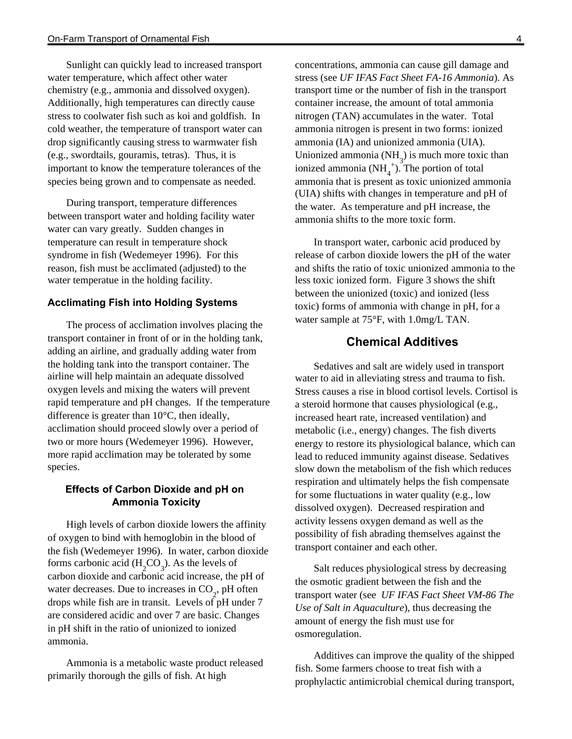Sunlight can quickly lead to increased transport water temperature, which affect other water chemistry (e.g., ammonia and dissolved oxygen). Additionally, high temperatures can directly cause stress to coolwater fish such as koi and goldfish. In cold weather, the temperature of transport water can drop significantly causing stress to warmwater fish (e.g., swordtails, gouramis, tetras). Thus, it is important to know the temperature tolerances of the species being grown and to compensate as needed.

During transport, temperature differences between transport water and holding facility water water can vary greatly. Sudden changes in temperature can result in temperature shock syndrome in fish (Wedemeyer 1996). For this reason, fish must be acclimated (adjusted) to the water temperatue in the holding facility.

#### **Acclimating Fish into Holding Systems**

The process of acclimation involves placing the transport container in front of or in the holding tank, adding an airline, and gradually adding water from the holding tank into the transport container. The airline will help maintain an adequate dissolved oxygen levels and mixing the waters will prevent rapid temperature and pH changes. If the temperature difference is greater than 10°C, then ideally, acclimation should proceed slowly over a period of two or more hours (Wedemeyer 1996). However, more rapid acclimation may be tolerated by some species.

#### **Effects of Carbon Dioxide and pH on Ammonia Toxicity**

High levels of carbon dioxide lowers the affinity of oxygen to bind with hemoglobin in the blood of the fish (Wedemeyer 1996). In water, carbon dioxide forms carbonic acid  $(H_2CO_3)$ . As the levels of carbon dioxide and carbonic acid increase, the pH of water decreases. Due to increases in  $CO_2$ , pH often drops while fish are in transit. Levels of pH under 7 are considered acidic and over 7 are basic. Changes in pH shift in the ratio of unionized to ionized ammonia.

Ammonia is a metabolic waste product released primarily thorough the gills of fish. At high

concentrations, ammonia can cause gill damage and stress (see *UF IFAS Fact Sheet FA-16 Ammonia*). As transport time or the number of fish in the transport container increase, the amount of total ammonia nitrogen (TAN) accumulates in the water. Total ammonia nitrogen is present in two forms: ionized ammonia (IA) and unionized ammonia (UIA). Unionized ammonia  $(NH_3)$  is much more toxic than ionized ammonia  $(NH_4^+)^3$ . The portion of total ammonia that is present as toxic unionized ammonia (UIA) shifts with changes in temperature and pH of the water. As temperature and pH increase, the ammonia shifts to the more toxic form.

In transport water, carbonic acid produced by release of carbon dioxide lowers the pH of the water and shifts the ratio of toxic unionized ammonia to the less toxic ionized form. Figure 3 shows the shift between the unionized (toxic) and ionized (less toxic) forms of ammonia with change in pH, for a water sample at 75°F, with 1.0mg/L TAN.

# **Chemical Additives**

Sedatives and salt are widely used in transport water to aid in alleviating stress and trauma to fish. Stress causes a rise in blood cortisol levels. Cortisol is a steroid hormone that causes physiological (e.g., increased heart rate, increased ventilation) and metabolic (i.e., energy) changes. The fish diverts energy to restore its physiological balance, which can lead to reduced immunity against disease. Sedatives slow down the metabolism of the fish which reduces respiration and ultimately helps the fish compensate for some fluctuations in water quality (e.g., low dissolved oxygen). Decreased respiration and activity lessens oxygen demand as well as the possibility of fish abrading themselves against the transport container and each other.

Salt reduces physiological stress by decreasing the osmotic gradient between the fish and the transport water (see *UF IFAS Fact Sheet VM-86 The Use of Salt in Aquaculture*), thus decreasing the amount of energy the fish must use for osmoregulation.

Additives can improve the quality of the shipped fish. Some farmers choose to treat fish with a prophylactic antimicrobial chemical during transport,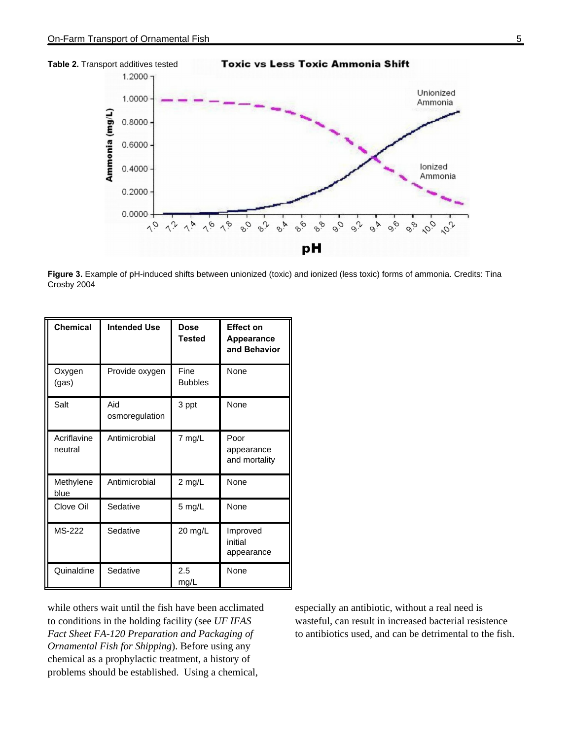



**Figure 3.** Example of pH-induced shifts between unionized (toxic) and ionized (less toxic) forms of ammonia. Credits: Tina Crosby 2004

| <b>Chemical</b>        | <b>Intended Use</b>   | <b>Dose</b><br><b>Tested</b> | <b>Effect on</b><br><b>Appearance</b><br>and Behavior |
|------------------------|-----------------------|------------------------------|-------------------------------------------------------|
| Oxygen<br>(gas)        | Provide oxygen        | Fine<br><b>Bubbles</b>       | <b>None</b>                                           |
| Salt                   | Aid<br>osmoregulation | 3 ppt                        | None                                                  |
| Acriflavine<br>neutral | Antimicrobial         | 7 mg/L                       | Poor<br>appearance<br>and mortality                   |
| Methylene<br>blue      | Antimicrobial         | 2 mg/L                       | None                                                  |
| Clove Oil              | Sedative              | 5 mg/L                       | None                                                  |
| MS-222                 | Sedative              | 20 mg/L                      | Improved<br>initial<br>appearance                     |
| Quinaldine             | Sedative              | 2.5<br>mg/L                  | None                                                  |

while others wait until the fish have been acclimated to conditions in the holding facility (see *UF IFAS Fact Sheet FA-120 Preparation and Packaging of Ornamental Fish for Shipping*). Before using any chemical as a prophylactic treatment, a history of problems should be established. Using a chemical,

especially an antibiotic, without a real need is wasteful, can result in increased bacterial resistence to antibiotics used, and can be detrimental to the fish.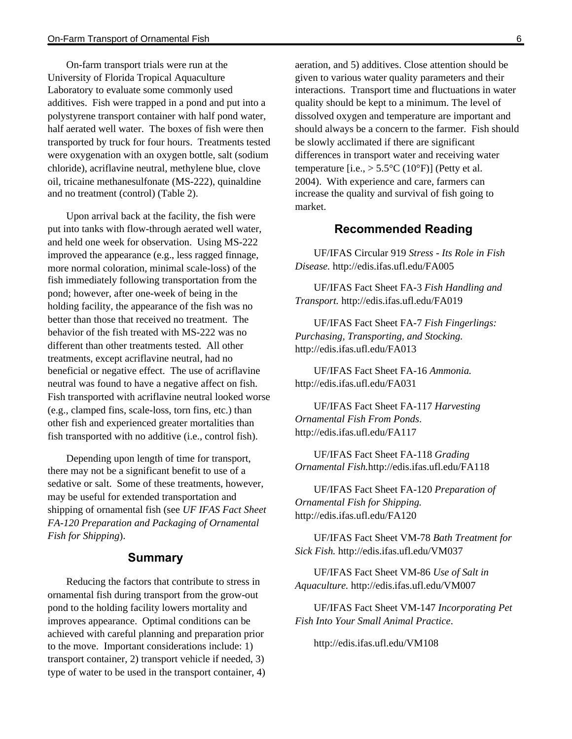On-farm transport trials were run at the University of Florida Tropical Aquaculture Laboratory to evaluate some commonly used additives. Fish were trapped in a pond and put into a polystyrene transport container with half pond water, half aerated well water. The boxes of fish were then transported by truck for four hours. Treatments tested were oxygenation with an oxygen bottle, salt (sodium chloride), acriflavine neutral, methylene blue, clove oil, tricaine methanesulfonate (MS-222), quinaldine and no treatment (control) (Table 2).

Upon arrival back at the facility, the fish were put into tanks with flow-through aerated well water, and held one week for observation. Using MS-222 improved the appearance (e.g., less ragged finnage, more normal coloration, minimal scale-loss) of the fish immediately following transportation from the pond; however, after one-week of being in the holding facility, the appearance of the fish was no better than those that received no treatment. The behavior of the fish treated with MS-222 was no different than other treatments tested. All other treatments, except acriflavine neutral, had no beneficial or negative effect. The use of acriflavine neutral was found to have a negative affect on fish. Fish transported with acriflavine neutral looked worse (e.g., clamped fins, scale-loss, torn fins, etc.) than other fish and experienced greater mortalities than fish transported with no additive (i.e., control fish).

Depending upon length of time for transport, there may not be a significant benefit to use of a sedative or salt. Some of these treatments, however, may be useful for extended transportation and shipping of ornamental fish (see *UF IFAS Fact Sheet FA-120 Preparation and Packaging of Ornamental Fish for Shipping*).

#### **Summary**

Reducing the factors that contribute to stress in ornamental fish during transport from the grow-out pond to the holding facility lowers mortality and improves appearance. Optimal conditions can be achieved with careful planning and preparation prior to the move. Important considerations include: 1) transport container, 2) transport vehicle if needed, 3) type of water to be used in the transport container, 4) aeration, and 5) additives. Close attention should be given to various water quality parameters and their interactions. Transport time and fluctuations in water quality should be kept to a minimum. The level of dissolved oxygen and temperature are important and should always be a concern to the farmer. Fish should be slowly acclimated if there are significant differences in transport water and receiving water temperature [i.e.,  $> 5.5$ °C (10°F)] (Petty et al. 2004). With experience and care, farmers can increase the quality and survival of fish going to market.

#### **Recommended Reading**

UF/IFAS Circular 919 *Stress - Its Role in Fish Disease.* http://edis.ifas.ufl.edu/FA005

UF/IFAS Fact Sheet FA-3 *Fish Handling and Transport.* http://edis.ifas.ufl.edu/FA019

UF/IFAS Fact Sheet FA-7 *Fish Fingerlings: Purchasing, Transporting, and Stocking.* http://edis.ifas.ufl.edu/FA013

UF/IFAS Fact Sheet FA-16 *Ammonia.* http://edis.ifas.ufl.edu/FA031

UF/IFAS Fact Sheet FA-117 *Harvesting Ornamental Fish From Ponds*. http://edis.ifas.ufl.edu/FA117

UF/IFAS Fact Sheet FA-118 *Grading Ornamental Fish.*http://edis.ifas.ufl.edu/FA118

UF/IFAS Fact Sheet FA-120 *Preparation of Ornamental Fish for Shipping.*  http://edis.ifas.ufl.edu/FA120

UF/IFAS Fact Sheet VM-78 *Bath Treatment for Sick Fish.* http://edis.ifas.ufl.edu/VM037

UF/IFAS Fact Sheet VM-86 *Use of Salt in Aquaculture.* http://edis.ifas.ufl.edu/VM007

UF/IFAS Fact Sheet VM-147 *Incorporating Pet Fish Into Your Small Animal Practice*.

http://edis.ifas.ufl.edu/VM108